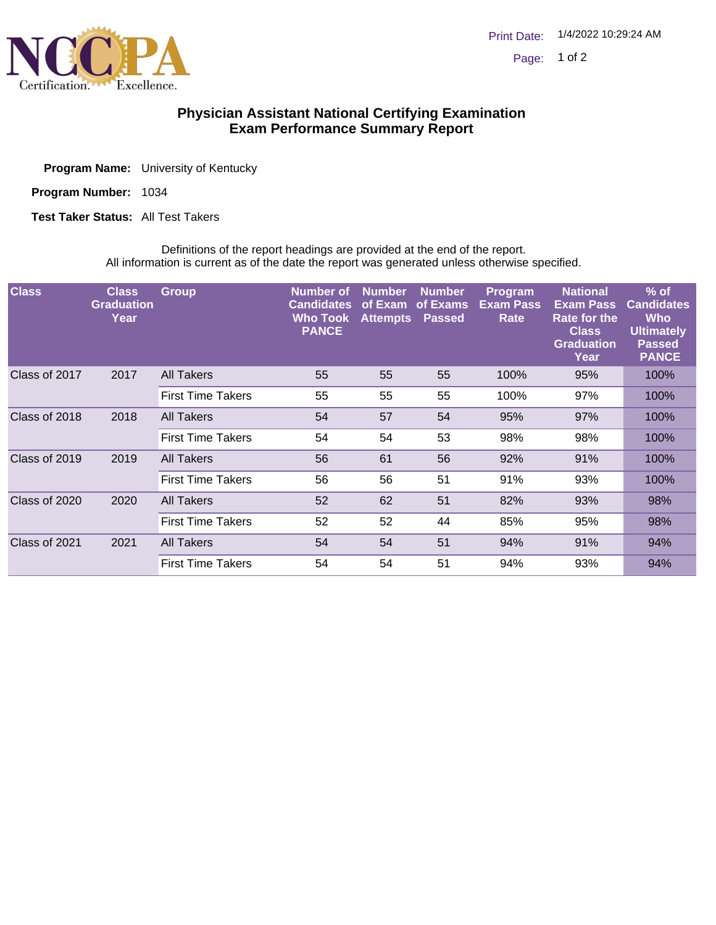

## **Physician Assistant National Certifying Examination Exam Performance Summary Report**

| <b>Program Name:</b> University of Kentucky |
|---------------------------------------------|
|                                             |

Program Number: 1034

**Test Taker Status: All Test Takers** 

Definitions of the report headings are provided at the end of the report. All information is current as of the date the report was generated unless otherwise specified.

| <b>Class</b>  | <b>Class</b><br><b>Graduation</b><br>Year | <b>Group</b>             | <b>Number</b> of<br><b>Candidates</b><br>Who Took<br><b>PANCE</b> | <b>Number</b><br>of Exam<br><b>Attempts</b> | <b>Number</b><br>of Exams<br><b>Passed</b> | Program<br><b>Exam Pass</b><br>Rate | <b>National</b><br><b>Exam Pass</b><br>Rate for the<br><b>Class</b><br><b>Graduation</b><br>Year | $%$ of<br><b>Candidates</b><br>Who<br><b>Ultimately</b><br><b>Passed</b><br><b>PANCE</b> |
|---------------|-------------------------------------------|--------------------------|-------------------------------------------------------------------|---------------------------------------------|--------------------------------------------|-------------------------------------|--------------------------------------------------------------------------------------------------|------------------------------------------------------------------------------------------|
| Class of 2017 | 2017                                      | All Takers               | 55                                                                | 55                                          | 55                                         | 100%                                | 95%                                                                                              | 100%                                                                                     |
|               |                                           | <b>First Time Takers</b> | 55                                                                | 55                                          | 55                                         | 100%                                | 97%                                                                                              | 100%                                                                                     |
| Class of 2018 | 2018                                      | All Takers               | 54                                                                | 57                                          | 54                                         | 95%                                 | 97%                                                                                              | 100%                                                                                     |
|               |                                           | <b>First Time Takers</b> | 54                                                                | 54                                          | 53                                         | 98%                                 | 98%                                                                                              | 100%                                                                                     |
| Class of 2019 | 2019                                      | All Takers               | 56                                                                | 61                                          | 56                                         | 92%                                 | 91%                                                                                              | 100%                                                                                     |
|               |                                           | <b>First Time Takers</b> | 56                                                                | 56                                          | 51                                         | 91%                                 | 93%                                                                                              | 100%                                                                                     |
| Class of 2020 | 2020                                      | All Takers               | 52                                                                | 62                                          | 51                                         | 82%                                 | 93%                                                                                              | 98%                                                                                      |
|               |                                           | <b>First Time Takers</b> | 52                                                                | 52                                          | 44                                         | 85%                                 | 95%                                                                                              | 98%                                                                                      |
| Class of 2021 | 2021                                      | All Takers               | 54                                                                | 54                                          | 51                                         | 94%                                 | 91%                                                                                              | 94%                                                                                      |
|               |                                           | <b>First Time Takers</b> | 54                                                                | 54                                          | 51                                         | 94%                                 | 93%                                                                                              | 94%                                                                                      |